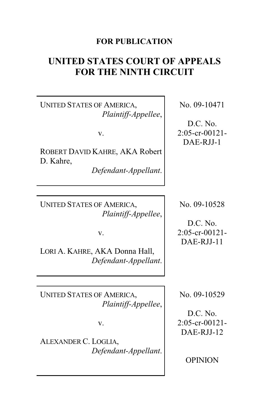# **FOR PUBLICATION**

# **UNITED STATES COURT OF APPEALS FOR THE NINTH CIRCUIT**

UNITED STATES OF AMERICA, *Plaintiff-Appellee*,

v.

ROBERT DAVID KAHRE, AKA Robert D. Kahre,

*Defendant-Appellant*.

UNITED STATES OF AMERICA, *Plaintiff-Appellee*,

v.

LORI A. KAHRE, AKA Donna Hall, *Defendant-Appellant*.

UNITED STATES OF AMERICA, *Plaintiff-Appellee*,

v.

ALEXANDER C. LOGLIA, *Defendant-Appellant*. No. 09-10471

D.C. No. 2:05-cr-00121- DAE-RJJ-1

No. 09-10528

D.C. No. 2:05-cr-00121- DAE-RJJ-11

No. 09-10529

D.C. No. 2:05-cr-00121- DAE-RJJ-12

OPINION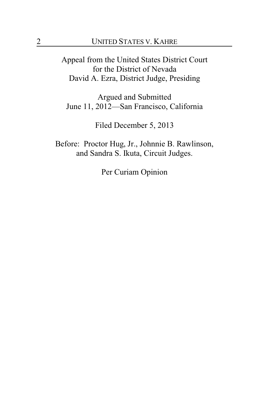Appeal from the United States District Court for the District of Nevada David A. Ezra, District Judge, Presiding

Argued and Submitted June 11, 2012—San Francisco, California

Filed December 5, 2013

Before: Proctor Hug, Jr., Johnnie B. Rawlinson, and Sandra S. Ikuta, Circuit Judges.

Per Curiam Opinion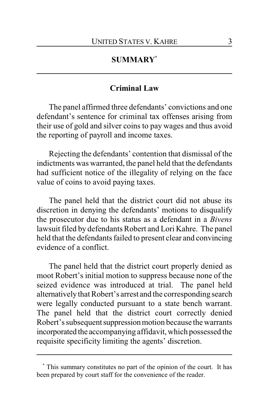# **SUMMARY\***

### **Criminal Law**

The panel affirmed three defendants' convictions and one defendant's sentence for criminal tax offenses arising from their use of gold and silver coins to pay wages and thus avoid the reporting of payroll and income taxes.

Rejecting the defendants' contention that dismissal of the indictments was warranted, the panel held that the defendants had sufficient notice of the illegality of relying on the face value of coins to avoid paying taxes.

The panel held that the district court did not abuse its discretion in denying the defendants' motions to disqualify the prosecutor due to his status as a defendant in a *Bivens* lawsuit filed by defendants Robert and Lori Kahre. The panel held that the defendants failed to present clear and convincing evidence of a conflict.

The panel held that the district court properly denied as moot Robert's initial motion to suppress because none of the seized evidence was introduced at trial. The panel held alternativelythat Robert's arrest and the corresponding search were legally conducted pursuant to a state bench warrant. The panel held that the district court correctly denied Robert's subsequent suppression motion because the warrants incorporated the accompanying affidavit, which possessed the requisite specificity limiting the agents' discretion.

**<sup>\*</sup>** This summary constitutes no part of the opinion of the court. It has been prepared by court staff for the convenience of the reader.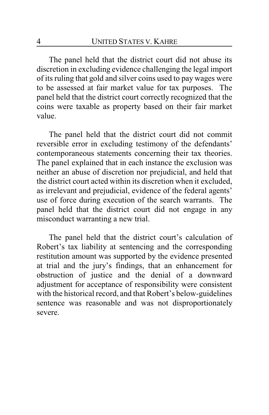The panel held that the district court did not abuse its discretion in excluding evidence challenging the legal import of its ruling that gold and silver coins used to pay wages were to be assessed at fair market value for tax purposes. The panel held that the district court correctly recognized that the coins were taxable as property based on their fair market value.

The panel held that the district court did not commit reversible error in excluding testimony of the defendants' contemporaneous statements concerning their tax theories. The panel explained that in each instance the exclusion was neither an abuse of discretion nor prejudicial, and held that the district court acted within its discretion when it excluded, as irrelevant and prejudicial, evidence of the federal agents' use of force during execution of the search warrants. The panel held that the district court did not engage in any misconduct warranting a new trial.

The panel held that the district court's calculation of Robert's tax liability at sentencing and the corresponding restitution amount was supported by the evidence presented at trial and the jury's findings, that an enhancement for obstruction of justice and the denial of a downward adjustment for acceptance of responsibility were consistent with the historical record, and that Robert's below-guidelines sentence was reasonable and was not disproportionately severe.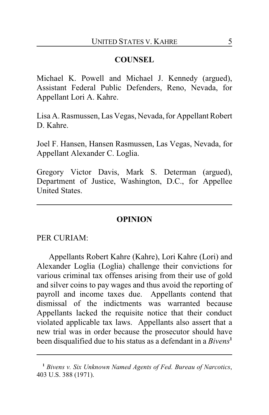# **COUNSEL**

Michael K. Powell and Michael J. Kennedy (argued), Assistant Federal Public Defenders, Reno, Nevada, for Appellant Lori A. Kahre.

Lisa A. Rasmussen, Las Vegas, Nevada, for Appellant Robert D. Kahre.

Joel F. Hansen, Hansen Rasmussen, Las Vegas, Nevada, for Appellant Alexander C. Loglia.

Gregory Victor Davis, Mark S. Determan (argued), Department of Justice, Washington, D.C., for Appellee United States.

#### **OPINION**

PER CURIAM<sup>.</sup>

Appellants Robert Kahre (Kahre), Lori Kahre (Lori) and Alexander Loglia (Loglia) challenge their convictions for various criminal tax offenses arising from their use of gold and silver coins to pay wages and thus avoid the reporting of payroll and income taxes due. Appellants contend that dismissal of the indictments was warranted because Appellants lacked the requisite notice that their conduct violated applicable tax laws. Appellants also assert that a new trial was in order because the prosecutor should have been disqualified due to his status as a defendant in a *Bivens***<sup>1</sup>**

**<sup>1</sup>** *Bivens v. Six Unknown Named Agents of Fed. Bureau of Narcotics*, 403 U.S. 388 (1971).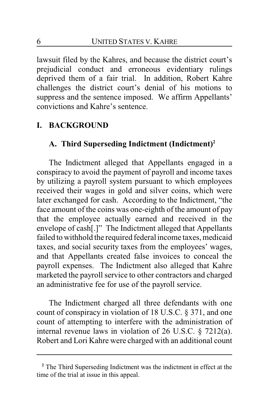lawsuit filed by the Kahres, and because the district court's prejudicial conduct and erroneous evidentiary rulings deprived them of a fair trial. In addition, Robert Kahre challenges the district court's denial of his motions to suppress and the sentence imposed. We affirm Appellants' convictions and Kahre's sentence.

## **I. BACKGROUND**

## **A. Third Superseding Indictment (Indictment)<sup>2</sup>**

The Indictment alleged that Appellants engaged in a conspiracy to avoid the payment of payroll and income taxes by utilizing a payroll system pursuant to which employees received their wages in gold and silver coins, which were later exchanged for cash. According to the Indictment, "the face amount of the coins was one-eighth of the amount of pay that the employee actually earned and received in the envelope of cash[.]" The Indictment alleged that Appellants failed to withhold the required federal income taxes, medicaid taxes, and social security taxes from the employees' wages, and that Appellants created false invoices to conceal the payroll expenses. The Indictment also alleged that Kahre marketed the payroll service to other contractors and charged an administrative fee for use of the payroll service.

The Indictment charged all three defendants with one count of conspiracy in violation of 18 U.S.C. § 371, and one count of attempting to interfere with the administration of internal revenue laws in violation of 26 U.S.C. § 7212(a). Robert and Lori Kahre were charged with an additional count

**<sup>2</sup>** The Third Superseding Indictment was the indictment in effect at the time of the trial at issue in this appeal.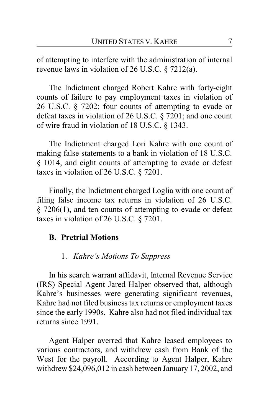of attempting to interfere with the administration of internal revenue laws in violation of 26 U.S.C. § 7212(a).

The Indictment charged Robert Kahre with forty-eight counts of failure to pay employment taxes in violation of 26 U.S.C. § 7202; four counts of attempting to evade or defeat taxes in violation of 26 U.S.C. § 7201; and one count of wire fraud in violation of 18 U.S.C. § 1343.

The Indictment charged Lori Kahre with one count of making false statements to a bank in violation of 18 U.S.C. § 1014, and eight counts of attempting to evade or defeat taxes in violation of 26 U.S.C. § 7201.

Finally, the Indictment charged Loglia with one count of filing false income tax returns in violation of 26 U.S.C. § 7206(1), and ten counts of attempting to evade or defeat taxes in violation of 26 U.S.C. § 7201.

## **B. Pretrial Motions**

#### 1. *Kahre's Motions To Suppress*

In his search warrant affidavit, Internal Revenue Service (IRS) Special Agent Jared Halper observed that, although Kahre's businesses were generating significant revenues, Kahre had not filed business tax returns or employment taxes since the early 1990s. Kahre also had not filed individual tax returns since 1991.

Agent Halper averred that Kahre leased employees to various contractors, and withdrew cash from Bank of the West for the payroll. According to Agent Halper, Kahre withdrew \$24,096,012 in cash between January 17, 2002, and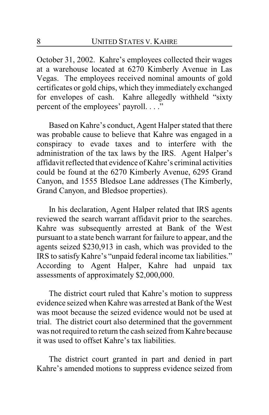October 31, 2002. Kahre's employees collected their wages at a warehouse located at 6270 Kimberly Avenue in Las Vegas. The employees received nominal amounts of gold certificates or gold chips, which they immediately exchanged for envelopes of cash. Kahre allegedly withheld "sixty percent of the employees' payroll. . . ."

Based on Kahre's conduct, Agent Halper stated that there was probable cause to believe that Kahre was engaged in a conspiracy to evade taxes and to interfere with the administration of the tax laws by the IRS. Agent Halper's affidavit reflected that evidence of Kahre's criminal activities could be found at the 6270 Kimberly Avenue, 6295 Grand Canyon, and 1555 Bledsoe Lane addresses (The Kimberly, Grand Canyon, and Bledsoe properties).

In his declaration, Agent Halper related that IRS agents reviewed the search warrant affidavit prior to the searches. Kahre was subsequently arrested at Bank of the West pursuant to a state bench warrant for failure to appear, and the agents seized \$230,913 in cash, which was provided to the IRS to satisfy Kahre's "unpaid federal income tax liabilities." According to Agent Halper, Kahre had unpaid tax assessments of approximately \$2,000,000.

The district court ruled that Kahre's motion to suppress evidence seized when Kahre was arrested at Bank of the West was moot because the seized evidence would not be used at trial. The district court also determined that the government was not required to return the cash seized from Kahre because it was used to offset Kahre's tax liabilities.

The district court granted in part and denied in part Kahre's amended motions to suppress evidence seized from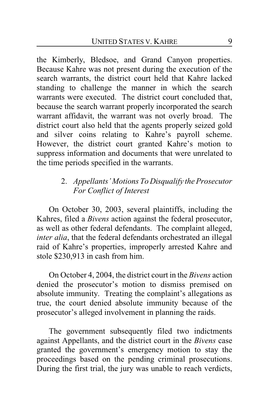the Kimberly, Bledsoe, and Grand Canyon properties. Because Kahre was not present during the execution of the search warrants, the district court held that Kahre lacked standing to challenge the manner in which the search warrants were executed. The district court concluded that, because the search warrant properly incorporated the search warrant affidavit, the warrant was not overly broad. The district court also held that the agents properly seized gold and silver coins relating to Kahre's payroll scheme. However, the district court granted Kahre's motion to suppress information and documents that were unrelated to the time periods specified in the warrants.

# 2. *Appellants' Motions To Disqualify the Prosecutor For Conflict of Interest*

On October 30, 2003, several plaintiffs, including the Kahres, filed a *Bivens* action against the federal prosecutor, as well as other federal defendants. The complaint alleged, *inter alia*, that the federal defendants orchestrated an illegal raid of Kahre's properties, improperly arrested Kahre and stole \$230,913 in cash from him.

On October 4, 2004, the district court in the *Bivens* action denied the prosecutor's motion to dismiss premised on absolute immunity. Treating the complaint's allegations as true, the court denied absolute immunity because of the prosecutor's alleged involvement in planning the raids.

The government subsequently filed two indictments against Appellants, and the district court in the *Bivens* case granted the government's emergency motion to stay the proceedings based on the pending criminal prosecutions. During the first trial, the jury was unable to reach verdicts,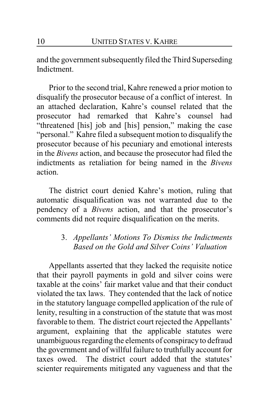and the government subsequently filed the Third Superseding Indictment.

Prior to the second trial, Kahre renewed a prior motion to disqualify the prosecutor because of a conflict of interest. In an attached declaration, Kahre's counsel related that the prosecutor had remarked that Kahre's counsel had "threatened [his] job and [his] pension," making the case "personal." Kahre filed a subsequent motion to disqualify the prosecutor because of his pecuniary and emotional interests in the *Bivens* action, and because the prosecutor had filed the indictments as retaliation for being named in the *Bivens* action.

The district court denied Kahre's motion, ruling that automatic disqualification was not warranted due to the pendency of a *Bivens* action, and that the prosecutor's comments did not require disqualification on the merits.

# 3. *Appellants' Motions To Dismiss the Indictments Based on the Gold and Silver Coins' Valuation*

Appellants asserted that they lacked the requisite notice that their payroll payments in gold and silver coins were taxable at the coins' fair market value and that their conduct violated the tax laws. They contended that the lack of notice in the statutory language compelled application of the rule of lenity, resulting in a construction of the statute that was most favorable to them. The district court rejected the Appellants' argument, explaining that the applicable statutes were unambiguous regarding the elements of conspiracyto defraud the government and of willful failure to truthfully account for taxes owed. The district court added that the statutes' scienter requirements mitigated any vagueness and that the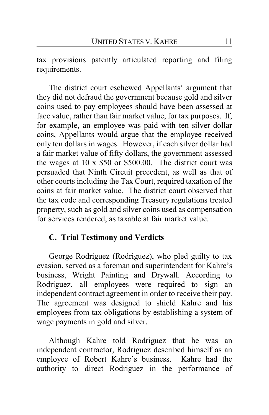tax provisions patently articulated reporting and filing requirements.

The district court eschewed Appellants' argument that they did not defraud the government because gold and silver coins used to pay employees should have been assessed at face value, rather than fair market value, for tax purposes. If, for example, an employee was paid with ten silver dollar coins, Appellants would argue that the employee received only ten dollars in wages. However, if each silver dollar had a fair market value of fifty dollars, the government assessed the wages at 10 x \$50 or \$500.00. The district court was persuaded that Ninth Circuit precedent, as well as that of other courts including the Tax Court, required taxation of the coins at fair market value. The district court observed that the tax code and corresponding Treasury regulations treated property, such as gold and silver coins used as compensation for services rendered, as taxable at fair market value.

# **C. Trial Testimony and Verdicts**

George Rodriguez (Rodriguez), who pled guilty to tax evasion, served as a foreman and superintendent for Kahre's business, Wright Painting and Drywall. According to Rodriguez, all employees were required to sign an independent contract agreement in order to receive their pay. The agreement was designed to shield Kahre and his employees from tax obligations by establishing a system of wage payments in gold and silver.

Although Kahre told Rodriguez that he was an independent contractor, Rodriguez described himself as an employee of Robert Kahre's business. Kahre had the authority to direct Rodriguez in the performance of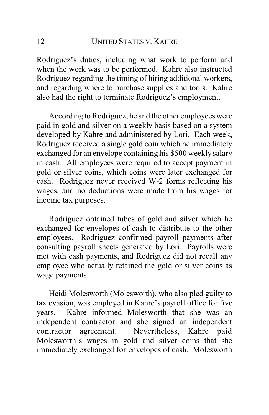Rodriguez's duties, including what work to perform and when the work was to be performed. Kahre also instructed Rodriguez regarding the timing of hiring additional workers, and regarding where to purchase supplies and tools. Kahre also had the right to terminate Rodriguez's employment.

According to Rodriguez, he and the other employees were paid in gold and silver on a weekly basis based on a system developed by Kahre and administered by Lori. Each week, Rodriguez received a single gold coin which he immediately exchanged for an envelope containing his \$500 weekly salary in cash. All employees were required to accept payment in gold or silver coins, which coins were later exchanged for cash. Rodriguez never received W-2 forms reflecting his wages, and no deductions were made from his wages for income tax purposes.

Rodriguez obtained tubes of gold and silver which he exchanged for envelopes of cash to distribute to the other employees. Rodriguez confirmed payroll payments after consulting payroll sheets generated by Lori. Payrolls were met with cash payments, and Rodriguez did not recall any employee who actually retained the gold or silver coins as wage payments.

Heidi Molesworth (Molesworth), who also pled guilty to tax evasion, was employed in Kahre's payroll office for five years. Kahre informed Molesworth that she was an independent contractor and she signed an independent contractor agreement. Nevertheless, Kahre paid Molesworth's wages in gold and silver coins that she immediately exchanged for envelopes of cash. Molesworth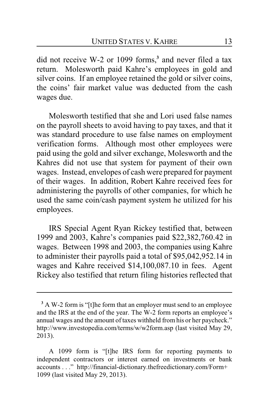did not receive W-2 or 1099 forms,**<sup>3</sup>** and never filed a tax return. Molesworth paid Kahre's employees in gold and silver coins. If an employee retained the gold or silver coins, the coins' fair market value was deducted from the cash wages due.

Molesworth testified that she and Lori used false names on the payroll sheets to avoid having to pay taxes, and that it was standard procedure to use false names on employment verification forms. Although most other employees were paid using the gold and silver exchange, Molesworth and the Kahres did not use that system for payment of their own wages. Instead, envelopes of cash were prepared for payment of their wages. In addition, Robert Kahre received fees for administering the payrolls of other companies, for which he used the same coin/cash payment system he utilized for his employees.

IRS Special Agent Ryan Rickey testified that, between 1999 and 2003, Kahre's companies paid \$22,382,760.42 in wages. Between 1998 and 2003, the companies using Kahre to administer their payrolls paid a total of \$95,042,952.14 in wages and Kahre received \$14,100,087.10 in fees. Agent Rickey also testified that return filing histories reflected that

**<sup>3</sup>** A W-2 form is "[t]he form that an employer must send to an employee and the IRS at the end of the year. The W-2 form reports an employee's annual wages and the amount of taxes withheld from his or her paycheck." http://www.investopedia.com/terms/w/w2form.asp (last visited May 29, 2013).

A 1099 form is "[t]he IRS form for reporting payments to independent contractors or interest earned on investments or bank accounts . . ." http://financial-dictionary.thefreedictionary.com/Form+ 1099 (last visited May 29, 2013).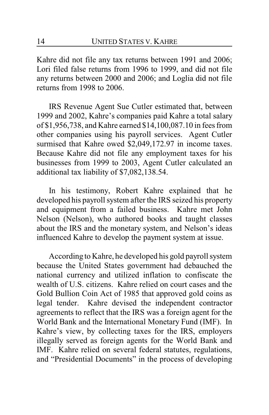Kahre did not file any tax returns between 1991 and 2006; Lori filed false returns from 1996 to 1999, and did not file any returns between 2000 and 2006; and Loglia did not file returns from 1998 to 2006.

IRS Revenue Agent Sue Cutler estimated that, between 1999 and 2002, Kahre's companies paid Kahre a total salary of \$1,956,738, and Kahre earned \$14,100,087.10 in fees from other companies using his payroll services. Agent Cutler surmised that Kahre owed \$2,049,172.97 in income taxes. Because Kahre did not file any employment taxes for his businesses from 1999 to 2003, Agent Cutler calculated an additional tax liability of \$7,082,138.54.

In his testimony, Robert Kahre explained that he developed his payroll system after the IRS seized his property and equipment from a failed business. Kahre met John Nelson (Nelson), who authored books and taught classes about the IRS and the monetary system, and Nelson's ideas influenced Kahre to develop the payment system at issue.

According to Kahre, he developed his gold payroll system because the United States government had debauched the national currency and utilized inflation to confiscate the wealth of U.S. citizens. Kahre relied on court cases and the Gold Bullion Coin Act of 1985 that approved gold coins as legal tender. Kahre devised the independent contractor agreements to reflect that the IRS was a foreign agent for the World Bank and the International Monetary Fund (IMF). In Kahre's view, by collecting taxes for the IRS, employers illegally served as foreign agents for the World Bank and IMF. Kahre relied on several federal statutes, regulations, and "Presidential Documents" in the process of developing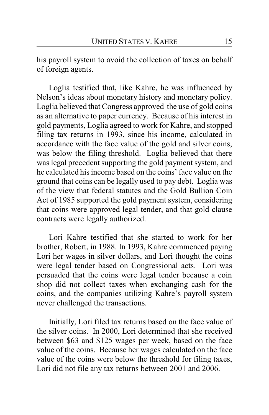his payroll system to avoid the collection of taxes on behalf of foreign agents.

Loglia testified that, like Kahre, he was influenced by Nelson's ideas about monetary history and monetary policy. Loglia believed that Congress approved the use of gold coins as an alternative to paper currency. Because of his interest in gold payments, Loglia agreed to work for Kahre, and stopped filing tax returns in 1993, since his income, calculated in accordance with the face value of the gold and silver coins, was below the filing threshold. Loglia believed that there was legal precedent supporting the gold payment system, and he calculated his income based on the coins' face value on the ground that coins can be legally used to pay debt. Loglia was of the view that federal statutes and the Gold Bullion Coin Act of 1985 supported the gold payment system, considering that coins were approved legal tender, and that gold clause contracts were legally authorized.

Lori Kahre testified that she started to work for her brother, Robert, in 1988. In 1993, Kahre commenced paying Lori her wages in silver dollars, and Lori thought the coins were legal tender based on Congressional acts. Lori was persuaded that the coins were legal tender because a coin shop did not collect taxes when exchanging cash for the coins, and the companies utilizing Kahre's payroll system never challenged the transactions.

Initially, Lori filed tax returns based on the face value of the silver coins. In 2000, Lori determined that she received between \$63 and \$125 wages per week, based on the face value of the coins. Because her wages calculated on the face value of the coins were below the threshold for filing taxes, Lori did not file any tax returns between 2001 and 2006.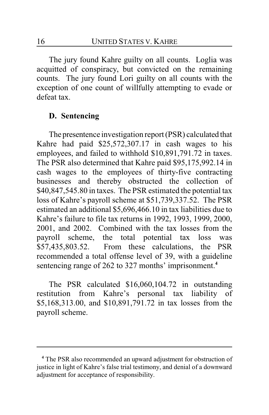The jury found Kahre guilty on all counts. Loglia was acquitted of conspiracy, but convicted on the remaining counts. The jury found Lori guilty on all counts with the exception of one count of willfully attempting to evade or defeat tax.

# **D. Sentencing**

The presentence investigation report (PSR) calculated that Kahre had paid \$25,572,307.17 in cash wages to his employees, and failed to withhold \$10,891,791.72 in taxes. The PSR also determined that Kahre paid \$95,175,992.14 in cash wages to the employees of thirty-five contracting businesses and thereby obstructed the collection of \$40,847,545.80 in taxes. The PSR estimated the potential tax loss of Kahre's payroll scheme at \$51,739,337.52. The PSR estimated an additional \$5,696,466.10 in tax liabilities due to Kahre's failure to file tax returns in 1992, 1993, 1999, 2000, 2001, and 2002. Combined with the tax losses from the payroll scheme, the total potential tax loss was \$57,435,803.52. From these calculations, the PSR recommended a total offense level of 39, with a guideline sentencing range of 262 to 327 months' imprisonment.**<sup>4</sup>**

The PSR calculated \$16,060,104.72 in outstanding restitution from Kahre's personal tax liability of \$5,168,313.00, and \$10,891,791.72 in tax losses from the payroll scheme.

**<sup>4</sup>** The PSR also recommended an upward adjustment for obstruction of justice in light of Kahre's false trial testimony, and denial of a downward adjustment for acceptance of responsibility.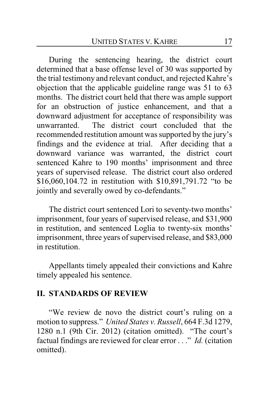During the sentencing hearing, the district court determined that a base offense level of 30 was supported by the trial testimony and relevant conduct, and rejected Kahre's objection that the applicable guideline range was 51 to 63 months. The district court held that there was ample support for an obstruction of justice enhancement, and that a downward adjustment for acceptance of responsibility was unwarranted. The district court concluded that the recommended restitution amount was supported by the jury's findings and the evidence at trial. After deciding that a downward variance was warranted, the district court sentenced Kahre to 190 months' imprisonment and three years of supervised release. The district court also ordered \$16,060,104.72 in restitution with \$10,891,791.72 "to be jointly and severally owed by co-defendants."

The district court sentenced Lori to seventy-two months' imprisonment, four years of supervised release, and \$31,900 in restitution, and sentenced Loglia to twenty-six months' imprisonment, three years of supervised release, and \$83,000 in restitution.

Appellants timely appealed their convictions and Kahre timely appealed his sentence.

#### **II. STANDARDS OF REVIEW**

"We review de novo the district court's ruling on a motion to suppress." *United States v. Russell*, 664 F.3d 1279, 1280 n.1 (9th Cir. 2012) (citation omitted). "The court's factual findings are reviewed for clear error . . ." *Id.* (citation omitted).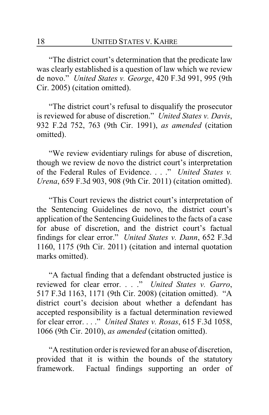"The district court's determination that the predicate law was clearly established is a question of law which we review de novo." *United States v. George*, 420 F.3d 991, 995 (9th Cir. 2005) (citation omitted).

"The district court's refusal to disqualify the prosecutor is reviewed for abuse of discretion." *United States v. Davis*, 932 F.2d 752, 763 (9th Cir. 1991), *as amended* (citation omitted).

"We review evidentiary rulings for abuse of discretion, though we review de novo the district court's interpretation of the Federal Rules of Evidence. . . ." *United States v. Urena*, 659 F.3d 903, 908 (9th Cir. 2011) (citation omitted).

"This Court reviews the district court's interpretation of the Sentencing Guidelines de novo, the district court's application of the Sentencing Guidelines to the facts of a case for abuse of discretion, and the district court's factual findings for clear error." *United States v. Dann*, 652 F.3d 1160, 1175 (9th Cir. 2011) (citation and internal quotation marks omitted).

"A factual finding that a defendant obstructed justice is reviewed for clear error. . . ." *United States v. Garro*, 517 F.3d 1163, 1171 (9th Cir. 2008) (citation omitted). "A district court's decision about whether a defendant has accepted responsibility is a factual determination reviewed for clear error. . . ." *United States v. Rosas*, 615 F.3d 1058, 1066 (9th Cir. 2010), *as amended* (citation omitted).

"A restitution order is reviewed for an abuse of discretion, provided that it is within the bounds of the statutory framework. Factual findings supporting an order of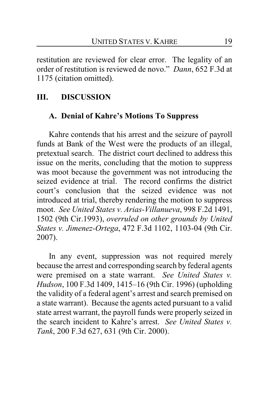restitution are reviewed for clear error. The legality of an order of restitution is reviewed de novo." *Dann*, 652 F.3d at 1175 (citation omitted).

# **III. DISCUSSION**

## **A. Denial of Kahre's Motions To Suppress**

Kahre contends that his arrest and the seizure of payroll funds at Bank of the West were the products of an illegal, pretextual search. The district court declined to address this issue on the merits, concluding that the motion to suppress was moot because the government was not introducing the seized evidence at trial. The record confirms the district court's conclusion that the seized evidence was not introduced at trial, thereby rendering the motion to suppress moot. *See United States v. Arias-Villanueva*, 998 F.2d 1491, 1502 (9th Cir.1993), *overruled on other grounds by United States v. Jimenez-Ortega*, 472 F.3d 1102, 1103-04 (9th Cir. 2007).

In any event, suppression was not required merely because the arrest and corresponding search by federal agents were premised on a state warrant. *See United States v. Hudson*, 100 F.3d 1409, 1415–16 (9th Cir. 1996) (upholding the validity of a federal agent's arrest and search premised on a state warrant). Because the agents acted pursuant to a valid state arrest warrant, the payroll funds were properly seized in the search incident to Kahre's arrest. *See United States v. Tank*, 200 F.3d 627, 631 (9th Cir. 2000).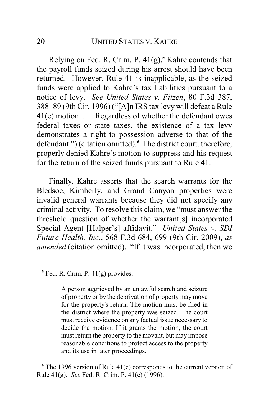Relying on Fed. R. Crim. P. 41(g),**<sup>5</sup>** Kahre contends that the payroll funds seized during his arrest should have been returned. However, Rule 41 is inapplicable, as the seized funds were applied to Kahre's tax liabilities pursuant to a notice of levy. *See United States v. Fitzen*, 80 F.3d 387, 388–89 (9th Cir. 1996) ("[A]n IRS tax levy will defeat a Rule 41(e) motion. . . . Regardless of whether the defendant owes federal taxes or state taxes, the existence of a tax levy demonstrates a right to possession adverse to that of the defendant.") (citation omitted).**<sup>6</sup>** The district court, therefore, properly denied Kahre's motion to suppress and his request for the return of the seized funds pursuant to Rule 41.

Finally, Kahre asserts that the search warrants for the Bledsoe, Kimberly, and Grand Canyon properties were invalid general warrants because they did not specify any criminal activity. To resolve this claim, we "must answer the threshold question of whether the warrant[s] incorporated Special Agent [Halper's] affidavit." *United States v. SDI Future Health, Inc.*, 568 F.3d 684, 699 (9th Cir. 2009), *as amended* (citation omitted). "If it was incorporated, then we

A person aggrieved by an unlawful search and seizure of property or by the deprivation of property may move for the property's return. The motion must be filed in the district where the property was seized. The court must receive evidence on any factual issue necessary to decide the motion. If it grants the motion, the court must return the property to the movant, but may impose reasonable conditions to protect access to the property and its use in later proceedings.

<sup>6</sup> The 1996 version of Rule 41(e) corresponds to the current version of Rule 41(g). *See* Fed. R. Crim. P. 41(e) (1996).

**<sup>5</sup>** Fed. R. Crim. P. 41(g) provides: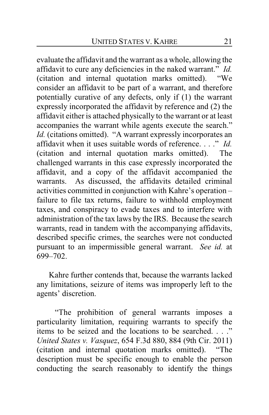evaluate the affidavit and the warrant as a whole, allowing the affidavit to cure any deficiencies in the naked warrant." *Id.* (citation and internal quotation marks omitted). "We consider an affidavit to be part of a warrant, and therefore potentially curative of any defects, only if (1) the warrant expressly incorporated the affidavit by reference and (2) the affidavit either is attached physically to the warrant or at least accompanies the warrant while agents execute the search." *Id.* (citations omitted). "A warrant expressly incorporates an affidavit when it uses suitable words of reference. . . ." *Id.* (citation and internal quotation marks omitted). The challenged warrants in this case expressly incorporated the affidavit, and a copy of the affidavit accompanied the warrants. As discussed, the affidavits detailed criminal activities committed in conjunction with Kahre's operation – failure to file tax returns, failure to withhold employment taxes, and conspiracy to evade taxes and to interfere with administration of the tax laws by the IRS. Because the search warrants, read in tandem with the accompanying affidavits, described specific crimes, the searches were not conducted pursuant to an impermissible general warrant. *See id.* at 699–702.

Kahre further contends that, because the warrants lacked any limitations, seizure of items was improperly left to the agents' discretion.

"The prohibition of general warrants imposes a particularity limitation, requiring warrants to specify the items to be seized and the locations to be searched. . . ." *United States v. Vasquez*, 654 F.3d 880, 884 (9th Cir. 2011) (citation and internal quotation marks omitted). "The description must be specific enough to enable the person conducting the search reasonably to identify the things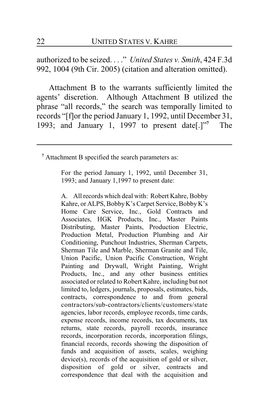authorized to be seized. . . ." *United States v. Smith*, 424 F.3d 992, 1004 (9th Cir. 2005) (citation and alteration omitted).

Attachment B to the warrants sufficiently limited the agents' discretion. Although Attachment B utilized the phrase "all records," the search was temporally limited to records "[f]or the period January 1, 1992, until December 31, 1993; and January 1, 1997 to present date  $[.]$ <sup>77</sup> **<sup>7</sup>** The

<sup>7</sup> Attachment B specified the search parameters as:

For the period January 1, 1992, until December 31, 1993; and January 1,1997 to present date:

A. All records which deal with: Robert Kahre, Bobby Kahre, or ALPS, BobbyK's Carpet Service, Bobby K's Home Care Service, Inc., Gold Contracts and Associates, HGK Products, Inc., Master Paints Distributing, Master Paints, Production Electric, Production Metal, Production Plumbing and Air Conditioning, Punchout Industries, Sherman Carpets, Sherman Tile and Marble, Sherman Granite and Tile, Union Pacific, Union Pacific Construction, Wright Painting and Drywall, Wright Painting, Wright Products, Inc., and any other business entities associated or related to Robert Kahre, including but not limited to, ledgers, journals, proposals, estimates, bids, contracts, correspondence to and from general contractors/sub-contractors/clients/customers/state agencies, labor records, employee records, time cards, expense records, income records, tax documents, tax returns, state records, payroll records, insurance records, incorporation records, incorporation filings, financial records, records showing the disposition of funds and acquisition of assets, scales, weighing device(s), records of the acquisition of gold or silver, disposition of gold or silver, contracts and correspondence that deal with the acquisition and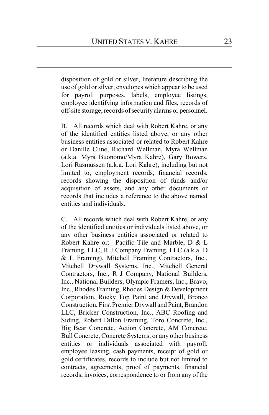disposition of gold or silver, literature describing the use of gold or silver, envelopes which appear to be used for payroll purposes, labels, employee listings, employee identifying information and files, records of off-site storage, records ofsecurity alarms or personnel.

B. All records which deal with Robert Kahre, or any of the identified entities listed above, or any other business entities associated or related to Robert Kahre or Danille Cline, Richard Wellman, Myra Wellman (a.k.a. Myra Buonomo/Myra Kahre), Gary Bowers, Lori Rasmussen (a.k.a. Lori Kahre), including but not limited to, employment records, financial records, records showing the disposition of funds and/or acquisition of assets, and any other documents or records that includes a reference to the above named entities and individuals.

C. All records which deal with Robert Kahre, or any of the identified entities or individuals listed above, or any other business entities associated or related to Robert Kahre or: Pacific Tile and Marble, D & L Framing, LLC, R J Company Framing, LLC (a.k.a. D & L Framing), Mitchell Framing Contractors, Inc., Mitchell Drywall Systems, Inc., Mitchell General Contractors, Inc., R J Company, National Builders, Inc., National Builders, Olympic Framers, Inc., Bravo, Inc., Rhodes Framing, Rhodes Design & Development Corporation, Rocky Top Paint and Drywall, Bronco Construction, First Premier Drywall and Paint, Brandon LLC, Bricker Construction, Inc., ABC Roofing and Siding, Robert Dillon Framing, Toro Concrete, Inc., Big Bear Concrete, Action Concrete, AM Concrete, Bull Concrete, Concrete Systems, or any other business entities or individuals associated with payroll, employee leasing, cash payments, receipt of gold or gold certificates, records to include but not limited to contracts, agreements, proof of payments, financial records, invoices, correspondence to or from any of the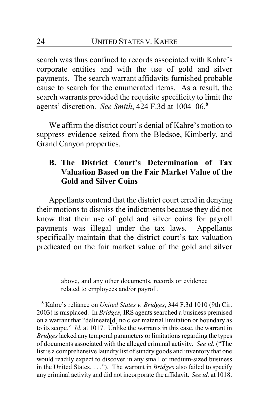search was thus confined to records associated with Kahre's corporate entities and with the use of gold and silver payments. The search warrant affidavits furnished probable cause to search for the enumerated items. As a result, the search warrants provided the requisite specificity to limit the agents' discretion. *See Smith*, 424 F.3d at 1004–06.**<sup>8</sup>**

We affirm the district court's denial of Kahre's motion to suppress evidence seized from the Bledsoe, Kimberly, and Grand Canyon properties.

# **B. The District Court's Determination of Tax Valuation Based on the Fair Market Value of the Gold and Silver Coins**

Appellants contend that the district court erred in denying their motions to dismiss the indictments because they did not know that their use of gold and silver coins for payroll payments was illegal under the tax laws. Appellants specifically maintain that the district court's tax valuation predicated on the fair market value of the gold and silver

**<sup>8</sup>** Kahre's reliance on *United States v. Bridges*, 344 F.3d 1010 (9th Cir. 2003) is misplaced. In *Bridges*, IRS agents searched a business premised on a warrant that "delineate[d] no clear material limitation or boundary as to its scope." *Id.* at 1017. Unlike the warrants in this case, the warrant in *Bridges* lacked any temporal parameters or limitations regarding the types of documents associated with the alleged criminal activity. *See id.* ("The list is a comprehensive laundry list of sundry goods and inventory that one would readily expect to discover in any small or medium-sized business in the United States. . . ."). The warrant in *Bridges* also failed to specify any criminal activity and did not incorporate the affidavit. *See id.* at 1018.

above, and any other documents, records or evidence related to employees and/or payroll.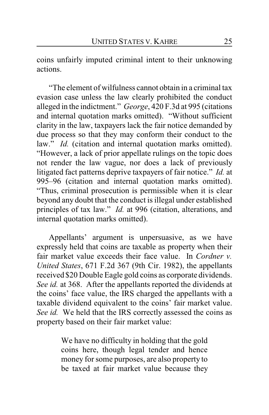coins unfairly imputed criminal intent to their unknowing actions.

"The element of wilfulness cannot obtain in a criminal tax evasion case unless the law clearly prohibited the conduct alleged in the indictment." *George*, 420 F.3d at 995 (citations and internal quotation marks omitted). "Without sufficient clarity in the law, taxpayers lack the fair notice demanded by due process so that they may conform their conduct to the law." *Id.* (citation and internal quotation marks omitted). "However, a lack of prior appellate rulings on the topic does not render the law vague, nor does a lack of previously litigated fact patterns deprive taxpayers of fair notice." *Id.* at 995–96 (citation and internal quotation marks omitted). "Thus, criminal prosecution is permissible when it is clear beyond any doubt that the conduct is illegal under established principles of tax law." *Id.* at 996 (citation, alterations, and internal quotation marks omitted).

Appellants' argument is unpersuasive, as we have expressly held that coins are taxable as property when their fair market value exceeds their face value. In *Cordner v. United States*, 671 F.2d 367 (9th Cir. 1982), the appellants received \$20 Double Eagle gold coins as corporate dividends. *See id.* at 368. After the appellants reported the dividends at the coins' face value, the IRS charged the appellants with a taxable dividend equivalent to the coins' fair market value. *See id.* We held that the IRS correctly assessed the coins as property based on their fair market value:

> We have no difficulty in holding that the gold coins here, though legal tender and hence money for some purposes, are also property to be taxed at fair market value because they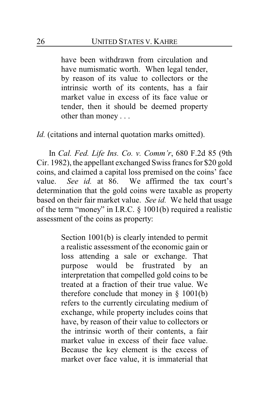have been withdrawn from circulation and have numismatic worth. When legal tender, by reason of its value to collectors or the intrinsic worth of its contents, has a fair market value in excess of its face value or tender, then it should be deemed property other than money . . .

*Id.* (citations and internal quotation marks omitted).

In *Cal. Fed. Life Ins. Co. v. Comm'r*, 680 F.2d 85 (9th Cir. 1982), the appellant exchanged Swiss francs for \$20 gold coins, and claimed a capital loss premised on the coins' face value. *See id.* at 86. We affirmed the tax court's determination that the gold coins were taxable as property based on their fair market value. *See id.* We held that usage of the term "money" in I.R.C. § 1001(b) required a realistic assessment of the coins as property:

> Section 1001(b) is clearly intended to permit a realistic assessment of the economic gain or loss attending a sale or exchange. That purpose would be frustrated by an interpretation that compelled gold coins to be treated at a fraction of their true value. We therefore conclude that money in  $\S$  1001(b) refers to the currently circulating medium of exchange, while property includes coins that have, by reason of their value to collectors or the intrinsic worth of their contents, a fair market value in excess of their face value. Because the key element is the excess of market over face value, it is immaterial that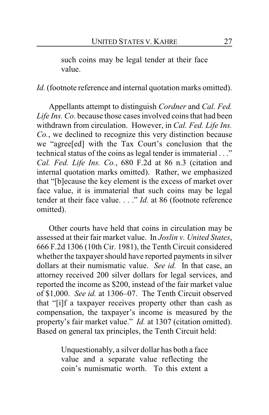such coins may be legal tender at their face value.

*Id.* (footnote reference and internal quotation marks omitted).

Appellants attempt to distinguish *Cordner* and *Cal. Fed. Life Ins. Co.* because those cases involved coins that had been withdrawn from circulation. However, in *Cal. Fed. Life Ins. Co.*, we declined to recognize this very distinction because we "agree[ed] with the Tax Court's conclusion that the technical status of the coins as legal tender is immaterial . . ." *Cal. Fed. Life Ins. Co.*, 680 F.2d at 86 n.3 (citation and internal quotation marks omitted). Rather, we emphasized that "[b]ecause the key element is the excess of market over face value, it is immaterial that such coins may be legal tender at their face value. . . ." *Id.* at 86 (footnote reference omitted).

Other courts have held that coins in circulation may be assessed at their fair market value. In *Joslin v. United States*, 666 F.2d 1306 (10th Cir. 1981), the Tenth Circuit considered whether the taxpayer should have reported payments in silver dollars at their numismatic value. *See id.* In that case, an attorney received 200 silver dollars for legal services, and reported the income as \$200, instead of the fair market value of \$1,000. *See id.* at 1306–07. The Tenth Circuit observed that "[i]f a taxpayer receives property other than cash as compensation, the taxpayer's income is measured by the property's fair market value." *Id.* at 1307 (citation omitted). Based on general tax principles, the Tenth Circuit held:

> Unquestionably, a silver dollar has both a face value and a separate value reflecting the coin's numismatic worth. To this extent a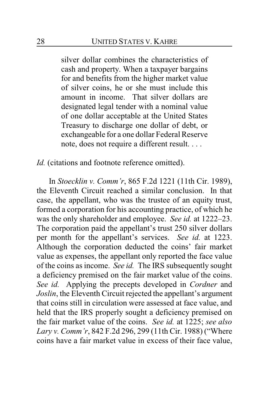silver dollar combines the characteristics of cash and property. When a taxpayer bargains for and benefits from the higher market value of silver coins, he or she must include this amount in income. That silver dollars are designated legal tender with a nominal value of one dollar acceptable at the United States Treasury to discharge one dollar of debt, or exchangeable for a one dollar Federal Reserve note, does not require a different result. . . .

*Id.* (citations and footnote reference omitted).

In *Stoecklin v. Comm'r*, 865 F.2d 1221 (11th Cir. 1989), the Eleventh Circuit reached a similar conclusion. In that case, the appellant, who was the trustee of an equity trust, formed a corporation for his accounting practice, of which he was the only shareholder and employee. *See id.* at 1222–23. The corporation paid the appellant's trust 250 silver dollars per month for the appellant's services. *See id.* at 1223. Although the corporation deducted the coins' fair market value as expenses, the appellant only reported the face value of the coins as income. *See id.* The IRS subsequently sought a deficiency premised on the fair market value of the coins. *See id.* Applying the precepts developed in *Cordner* and *Joslin*, the Eleventh Circuit rejected the appellant's argument that coins still in circulation were assessed at face value, and held that the IRS properly sought a deficiency premised on the fair market value of the coins. *See id.* at 1225; *see also Lary v. Comm'r*, 842 F.2d 296, 299 (11th Cir. 1988) ("Where coins have a fair market value in excess of their face value,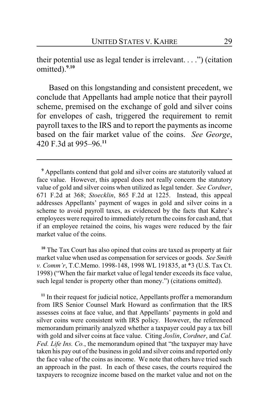their potential use as legal tender is irrelevant. . . .") (citation omitted).**<sup>9</sup>**,**<sup>10</sup>**

Based on this longstanding and consistent precedent, we conclude that Appellants had ample notice that their payroll scheme, premised on the exchange of gold and silver coins for envelopes of cash, triggered the requirement to remit payroll taxes to the IRS and to report the payments as income based on the fair market value of the coins. *See George*, 420 F.3d at 995–96.**<sup>11</sup>**

**<sup>10</sup>** The Tax Court has also opined that coins are taxed as property at fair market value when used as compensation for services or goods. *See Smith v. Comm'r*, T.C.Memo. 1998-148, 1998 WL 191835, at \*3 (U.S. Tax Ct. 1998) ("When the fair market value of legal tender exceeds its face value, such legal tender is property other than money.") (citations omitted).

<sup>11</sup> In their request for judicial notice, Appellants proffer a memorandum from IRS Senior Counsel Mark Howard as confirmation that the IRS assesses coins at face value, and that Appellants' payments in gold and silver coins were consistent with IRS policy. However, the referenced memorandum primarily analyzed whether a taxpayer could pay a tax bill with gold and silver coins at face value. Citing *Joslin*, *Cordner*, and *Cal. Fed. Life Ins. Co.*, the memorandum opined that "the taxpayer may have taken his pay out of the business in gold and silver coins and reported only the face value of the coins as income. We note that others have tried such an approach in the past. In each of these cases, the courts required the taxpayers to recognize income based on the market value and not on the

**<sup>9</sup>** Appellants contend that gold and silver coins are statutorily valued at face value. However, this appeal does not really concern the statutory value of gold and silver coins when utilized as legal tender. *See Cordner*, 671 F.2d at 368; *Stoecklin*, 865 F.2d at 1225. Instead, this appeal addresses Appellants' payment of wages in gold and silver coins in a scheme to avoid payroll taxes, as evidenced by the facts that Kahre's employees were required to immediately return the coins for cash and, that if an employee retained the coins, his wages were reduced by the fair market value of the coins.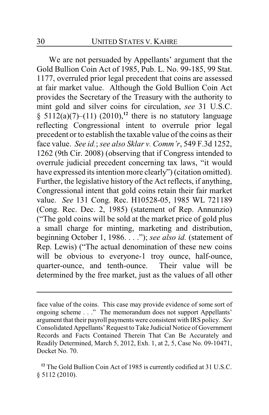We are not persuaded by Appellants' argument that the Gold Bullion Coin Act of 1985, Pub. L. No. 99-185, 99 Stat. 1177, overruled prior legal precedent that coins are assessed at fair market value. Although the Gold Bullion Coin Act provides the Secretary of the Treasury with the authority to mint gold and silver coins for circulation, *see* 31 U.S.C.  $\S$  5112(a)(7)–(11) (2010),<sup>12</sup> there is no statutory language reflecting Congressional intent to overrule prior legal precedent or to establish the taxable value of the coins as their face value. *See id.*; *see also Sklar v. Comm'r*, 549 F.3d 1252, 1262 (9th Cir. 2008) (observing that if Congress intended to overrule judicial precedent concerning tax laws, "it would have expressed its intention more clearly") (citation omitted). Further, the legislative history of the Act reflects, if anything, Congressional intent that gold coins retain their fair market value. *See* 131 Cong. Rec. H10528-05, 1985 WL 721189 (Cong. Rec. Dec. 2, 1985) (statement of Rep. Annunzio) ("The gold coins will be sold at the market price of gold plus a small charge for minting, marketing and distribution, beginning October 1, 1986. . . ."); *see also id.* (statement of Rep. Lewis) ("The actual denomination of these new coins will be obvious to everyone-1 troy ounce, half-ounce, quarter-ounce, and tenth-ounce. Their value will be determined by the free market, just as the values of all other

face value of the coins. This case may provide evidence of some sort of ongoing scheme . . ." The memorandum does not support Appellants' argument that their payroll payments were consistent with IRS policy. *See* Consolidated Appellants'Request to Take Judicial Notice of Government Records and Facts Contained Therein That Can Be Accurately and Readily Determined, March 5, 2012, Exh. 1, at 2, 5, Case No. 09-10471, Docket No. 70.

**<sup>12</sup>** The Gold Bullion Coin Act of 1985 is currently codified at 31 U.S.C. § 5112 (2010).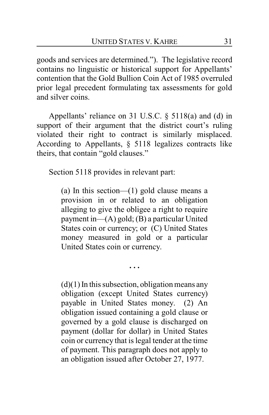goods and services are determined."). The legislative record contains no linguistic or historical support for Appellants' contention that the Gold Bullion Coin Act of 1985 overruled prior legal precedent formulating tax assessments for gold and silver coins.

Appellants' reliance on 31 U.S.C. § 5118(a) and (d) in support of their argument that the district court's ruling violated their right to contract is similarly misplaced. According to Appellants, § 5118 legalizes contracts like theirs, that contain "gold clauses."

Section 5118 provides in relevant part:

(a) In this section—(1) gold clause means a provision in or related to an obligation alleging to give the obligee a right to require payment in—(A) gold; (B) a particular United States coin or currency; or (C) United States money measured in gold or a particular United States coin or currency.

**. . .**

 $(d)(1)$  In this subsection, obligation means any obligation (except United States currency) payable in United States money. (2) An obligation issued containing a gold clause or governed by a gold clause is discharged on payment (dollar for dollar) in United States coin or currency that is legal tender at the time of payment. This paragraph does not apply to an obligation issued after October 27, 1977.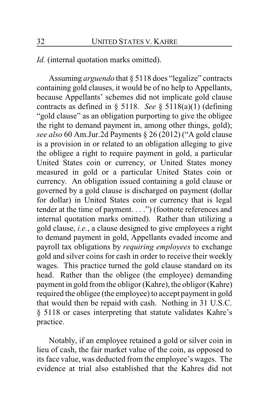### *Id.* (internal quotation marks omitted).

Assuming *arguendo* that § 5118 does "legalize" contracts containing gold clauses, it would be of no help to Appellants, because Appellants' schemes did not implicate gold clause contracts as defined in § 5118. *See* § 5118(a)(1) (defining "gold clause" as an obligation purporting to give the obligee the right to demand payment in, among other things, gold); *see also* 60 Am.Jur.2d Payments § 26 (2012) ("A gold clause is a provision in or related to an obligation alleging to give the obligee a right to require payment in gold, a particular United States coin or currency, or United States money measured in gold or a particular United States coin or currency. An obligation issued containing a gold clause or governed by a gold clause is discharged on payment (dollar for dollar) in United States coin or currency that is legal tender at the time of payment. . . .") (footnote references and internal quotation marks omitted). Rather than utilizing a gold clause, *i.e.*, a clause designed to give employees a right to demand payment in gold, Appellants evaded income and payroll tax obligations by *requiring employees* to exchange gold and silver coins for cash in order to receive their weekly wages. This practice turned the gold clause standard on its head. Rather than the obligee (the employee) demanding payment in gold from the obligor (Kahre), the obligor (Kahre) required the obligee (the employee) to accept payment in gold that would then be repaid with cash. Nothing in 31 U.S.C. § 5118 or cases interpreting that statute validates Kahre's practice.

Notably, if an employee retained a gold or silver coin in lieu of cash, the fair market value of the coin, as opposed to its face value, was deducted from the employee's wages. The evidence at trial also established that the Kahres did not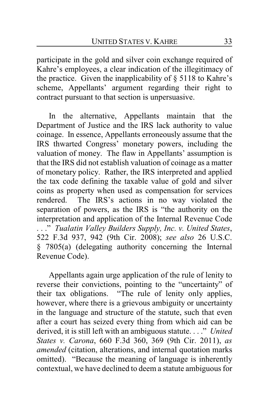participate in the gold and silver coin exchange required of Kahre's employees, a clear indication of the illegitimacy of the practice. Given the inapplicability of  $\S$  5118 to Kahre's scheme, Appellants' argument regarding their right to contract pursuant to that section is unpersuasive.

In the alternative, Appellants maintain that the Department of Justice and the IRS lack authority to value coinage. In essence, Appellants erroneously assume that the IRS thwarted Congress' monetary powers, including the valuation of money. The flaw in Appellants' assumption is that the IRS did not establish valuation of coinage as a matter of monetary policy. Rather, the IRS interpreted and applied the tax code defining the taxable value of gold and silver coins as property when used as compensation for services rendered. The IRS's actions in no way violated the separation of powers, as the IRS is "the authority on the interpretation and application of the Internal Revenue Code . . ." *Tualatin Valley Builders Supply, Inc. v. United States*, 522 F.3d 937, 942 (9th Cir. 2008); *see also* 26 U.S.C. § 7805(a) (delegating authority concerning the Internal Revenue Code).

Appellants again urge application of the rule of lenity to reverse their convictions, pointing to the "uncertainty" of their tax obligations. "The rule of lenity only applies, however, where there is a grievous ambiguity or uncertainty in the language and structure of the statute, such that even after a court has seized every thing from which aid can be derived, it is still left with an ambiguous statute. . . ." *United States v. Carona*, 660 F.3d 360, 369 (9th Cir. 2011), *as amended* (citation, alterations, and internal quotation marks omitted). "Because the meaning of language is inherently contextual, we have declined to deem a statute ambiguous for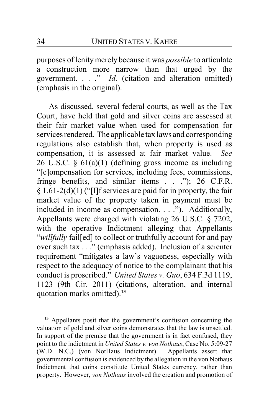purposes of lenitymerely because it was *possible* to articulate a construction more narrow than that urged by the government. . . ." *Id.* (citation and alteration omitted) (emphasis in the original).

As discussed, several federal courts, as well as the Tax Court, have held that gold and silver coins are assessed at their fair market value when used for compensation for services rendered. The applicable tax laws and corresponding regulations also establish that, when property is used as compensation, it is assessed at fair market value. *See* 26 U.S.C. § 61(a)(1) (defining gross income as including "[c]ompensation for services, including fees, commissions, fringe benefits, and similar items . . ."); 26 C.F.R. § 1.61-2(d)(1) ("[I]f services are paid for in property, the fair market value of the property taken in payment must be included in income as compensation. . . ."). Additionally, Appellants were charged with violating 26 U.S.C. § 7202, with the operative Indictment alleging that Appellants "*willfully* fail[ed] to collect or truthfully account for and pay over such tax . . ." (emphasis added). Inclusion of a scienter requirement "mitigates a law's vagueness, especially with respect to the adequacy of notice to the complainant that his conduct is proscribed." *United States v. Guo*, 634 F.3d 1119, 1123 (9th Cir. 2011) (citations, alteration, and internal quotation marks omitted).**<sup>13</sup>**

**<sup>13</sup>** Appellants posit that the government's confusion concerning the valuation of gold and silver coins demonstrates that the law is unsettled. In support of the premise that the government is in fact confused, they point to the indictment in *United States v. von Nothaus*, Case No. 5:09-27 (W.D. N.C.) (von NotHaus Indictment). Appellants assert that governmental confusion is evidenced by the allegation in the von Nothaus Indictment that coins constitute United States currency, rather than property. However, *von Nothaus* involved the creation and promotion of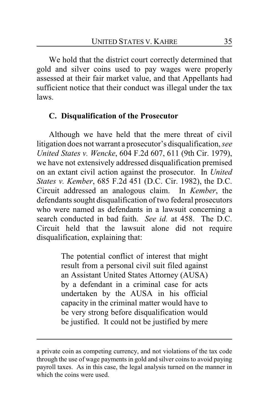We hold that the district court correctly determined that gold and silver coins used to pay wages were properly assessed at their fair market value, and that Appellants had sufficient notice that their conduct was illegal under the tax laws.

### **C. Disqualification of the Prosecutor**

Although we have held that the mere threat of civil litigation does not warrant a prosecutor's disqualification, *see United States v. Wencke*, 604 F.2d 607, 611 (9th Cir. 1979), we have not extensively addressed disqualification premised on an extant civil action against the prosecutor. In *United States v. Kember*, 685 F.2d 451 (D.C. Cir. 1982), the D.C. Circuit addressed an analogous claim. In *Kember*, the defendants sought disqualification of two federal prosecutors who were named as defendants in a lawsuit concerning a search conducted in bad faith. *See id.* at 458. The D.C. Circuit held that the lawsuit alone did not require disqualification, explaining that:

> The potential conflict of interest that might result from a personal civil suit filed against an Assistant United States Attorney (AUSA) by a defendant in a criminal case for acts undertaken by the AUSA in his official capacity in the criminal matter would have to be very strong before disqualification would be justified. It could not be justified by mere

a private coin as competing currency, and not violations of the tax code through the use of wage payments in gold and silver coins to avoid paying payroll taxes. As in this case, the legal analysis turned on the manner in which the coins were used.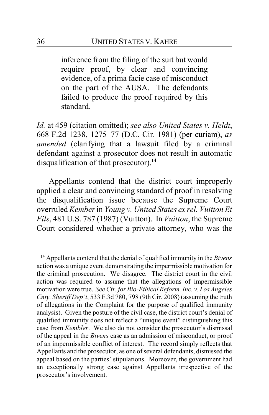inference from the filing of the suit but would require proof, by clear and convincing evidence, of a prima facie case of misconduct on the part of the AUSA. The defendants failed to produce the proof required by this standard.

*Id.* at 459 (citation omitted); *see also United States v. Heldt*, 668 F.2d 1238, 1275–77 (D.C. Cir. 1981) (per curiam), *as amended* (clarifying that a lawsuit filed by a criminal defendant against a prosecutor does not result in automatic disqualification of that prosecutor).**<sup>14</sup>**

Appellants contend that the district court improperly applied a clear and convincing standard of proof in resolving the disqualification issue because the Supreme Court overruled *Kember*in *Young v. United States ex rel. Vuitton Et Fils*, 481 U.S. 787 (1987) (Vuitton). In *Vuitton*, the Supreme Court considered whether a private attorney, who was the

**<sup>14</sup>** Appellants contend that the denial of qualified immunity in the *Bivens* action was a unique event demonstrating the impermissible motivation for the criminal prosecution. We disagree. The district court in the civil action was required to assume that the allegations of impermissible motivation were true. *See Ctr. for Bio-Ethical Reform, Inc. v. Los Angeles Cnty. Sheriff Dep't*, 533 F.3d 780, 798 (9th Cir. 2008) (assuming the truth of allegations in the Complaint for the purpose of qualified immunity analysis). Given the posture of the civil case, the district court's denial of qualified immunity does not reflect a "unique event" distinguishing this case from *Kembler*. We also do not consider the prosecutor's dismissal of the appeal in the *Bivens* case as an admission of misconduct, or proof of an impermissible conflict of interest. The record simply reflects that Appellants and the prosecutor, as one of several defendants, dismissed the appeal based on the parties' stipulations. Moreover, the government had an exceptionally strong case against Appellants irrespective of the prosecutor's involvement.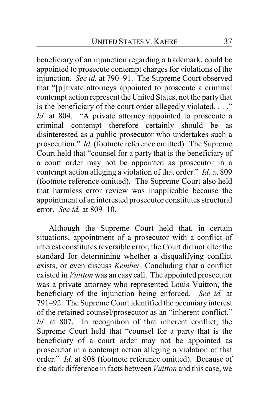beneficiary of an injunction regarding a trademark, could be appointed to prosecute contempt charges for violations of the injunction. *See id.* at 790–91. The Supreme Court observed that "[p]rivate attorneys appointed to prosecute a criminal contempt action represent the United States, not the party that is the beneficiary of the court order allegedly violated. . . ." *Id.* at 804. "A private attorney appointed to prosecute a criminal contempt therefore certainly should be as disinterested as a public prosecutor who undertakes such a prosecution." *Id.* (footnote reference omitted). The Supreme Court held that "counsel for a party that is the beneficiary of a court order may not be appointed as prosecutor in a contempt action alleging a violation of that order." *Id.* at 809 (footnote reference omitted). The Supreme Court also held that harmless error review was inapplicable because the appointment of an interested prosecutor constitutes structural error. *See id.* at 809–10.

Although the Supreme Court held that, in certain situations, appointment of a prosecutor with a conflict of interest constitutes reversible error, the Court did not alter the standard for determining whether a disqualifying conflict exists, or even discuss *Kember*. Concluding that a conflict existed in *Vuitton* was an easy call. The appointed prosecutor was a private attorney who represented Louis Vuitton, the beneficiary of the injunction being enforced. *See id.* at 791–92. The Supreme Court identified the pecuniary interest of the retained counsel/prosecutor as an "inherent conflict." *Id.* at 807. In recognition of that inherent conflict, the Supreme Court held that "counsel for a party that is the beneficiary of a court order may not be appointed as prosecutor in a contempt action alleging a violation of that order." *Id.* at 808 (footnote reference omitted). Because of the stark difference in facts between *Vuitton* and this case, we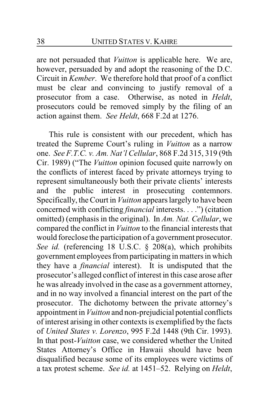are not persuaded that *Vuitton* is applicable here. We are, however, persuaded by and adopt the reasoning of the D.C. Circuit in *Kember*. We therefore hold that proof of a conflict must be clear and convincing to justify removal of a prosecutor from a case. Otherwise, as noted in *Heldt*, prosecutors could be removed simply by the filing of an action against them. *See Heldt*, 668 F.2d at 1276.

This rule is consistent with our precedent, which has treated the Supreme Court's ruling in *Vuitton* as a narrow one. *See F.T.C. v. Am. Nat'l Cellular*, 868 F.2d 315, 319 (9th Cir. 1989) ("The *Vuitton* opinion focused quite narrowly on the conflicts of interest faced by private attorneys trying to represent simultaneously both their private clients' interests and the public interest in prosecuting contemnors. Specifically, the Court in *Vuitton* appears largely to have been concerned with conflicting *financial* interests. . . .") (citation omitted) (emphasis in the original). In *Am. Nat. Cellular*, we compared the conflict in *Vuitton* to the financial interests that would foreclose the participation of a government prosecutor. *See id.* (referencing 18 U.S.C. § 208(a), which prohibits government employees from participating in matters in which they have a *financial* interest). It is undisputed that the prosecutor's alleged conflict of interest in this case arose after he was already involved in the case as a government attorney, and in no way involved a financial interest on the part of the prosecutor. The dichotomy between the private attorney's appointment in *Vuitton* and non-prejudicial potential conflicts of interest arising in other contexts is exemplified by the facts of *United States v. Lorenzo*, 995 F.2d 1448 (9th Cir. 1993). In that post-*Vuitton* case, we considered whether the United States Attorney's Office in Hawaii should have been disqualified because some of its employees were victims of a tax protest scheme. *See id.* at 1451–52. Relying on *Heldt*,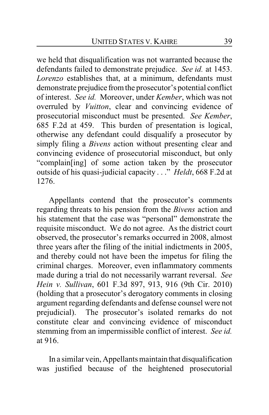we held that disqualification was not warranted because the defendants failed to demonstrate prejudice. *See id.* at 1453. *Lorenzo* establishes that, at a minimum, defendants must demonstrate prejudice fromthe prosecutor's potential conflict of interest. *See id.* Moreover, under *Kember*, which was not overruled by *Vuitton*, clear and convincing evidence of prosecutorial misconduct must be presented. *See Kember*, 685 F.2d at 459. This burden of presentation is logical, otherwise any defendant could disqualify a prosecutor by simply filing a *Bivens* action without presenting clear and convincing evidence of prosecutorial misconduct, but only "complain[ing] of some action taken by the prosecutor outside of his quasi-judicial capacity . . ." *Heldt*, 668 F.2d at 1276.

Appellants contend that the prosecutor's comments regarding threats to his pension from the *Bivens* action and his statement that the case was "personal" demonstrate the requisite misconduct. We do not agree. As the district court observed, the prosecutor's remarks occurred in 2008, almost three years after the filing of the initial indictments in 2005, and thereby could not have been the impetus for filing the criminal charges. Moreover, even inflammatory comments made during a trial do not necessarily warrant reversal. *See Hein v. Sullivan*, 601 F.3d 897, 913, 916 (9th Cir. 2010) (holding that a prosecutor's derogatory comments in closing argument regarding defendants and defense counsel were not prejudicial). The prosecutor's isolated remarks do not constitute clear and convincing evidence of misconduct stemming from an impermissible conflict of interest. *See id.* at 916.

In a similar vein, Appellants maintain that disqualification was justified because of the heightened prosecutorial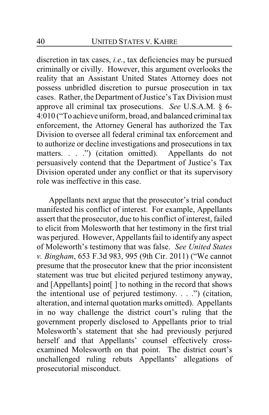discretion in tax cases, *i.e.*, tax deficiencies may be pursued criminally or civilly. However, this argument overlooks the reality that an Assistant United States Attorney does not possess unbridled discretion to pursue prosecution in tax cases. Rather, the Department of Justice's Tax Division must approve all criminal tax prosecutions. *See* U.S.A.M. § 6- 4:010 ("To achieve uniform, broad, and balanced criminal tax enforcement, the Attorney General has authorized the Tax Division to oversee all federal criminal tax enforcement and to authorize or decline investigations and prosecutions in tax matters. . . .") (citation omitted). Appellants do not persuasively contend that the Department of Justice's Tax Division operated under any conflict or that its supervisory role was ineffective in this case.

Appellants next argue that the prosecutor's trial conduct manifested his conflict of interest. For example, Appellants assert that the prosecutor, due to his conflict of interest, failed to elicit from Molesworth that her testimony in the first trial was perjured. However, Appellants fail to identify any aspect of Moleworth's testimony that was false. *See United States v. Bingham*, 653 F.3d 983, 995 (9th Cir. 2011) ("We cannot presume that the prosecutor knew that the prior inconsistent statement was true but elicited perjured testimony anyway, and [Appellants] point[ ] to nothing in the record that shows the intentional use of perjured testimony. . . .") (citation, alteration, and internal quotation marks omitted). Appellants in no way challenge the district court's ruling that the government properly disclosed to Appellants prior to trial Molesworth's statement that she had previously perjured herself and that Appellants' counsel effectively crossexamined Molesworth on that point. The district court's unchallenged ruling rebuts Appellants' allegations of prosecutorial misconduct.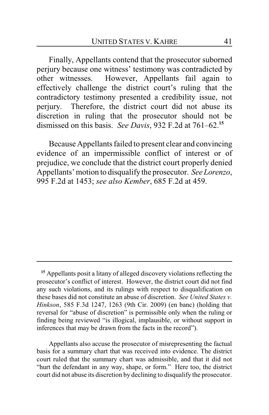Finally, Appellants contend that the prosecutor suborned perjury because one witness' testimony was contradicted by other witnesses. However, Appellants fail again to effectively challenge the district court's ruling that the contradictory testimony presented a credibility issue, not perjury. Therefore, the district court did not abuse its discretion in ruling that the prosecutor should not be dismissed on this basis. *See Davis*, 932 F.2d at 761–62.**<sup>15</sup>**

Because Appellants failed to present clear and convincing evidence of an impermissible conflict of interest or of prejudice, we conclude that the district court properly denied Appellants' motion to disqualifythe prosecutor. *See Lorenzo*, 995 F.2d at 1453; *see also Kember*, 685 F.2d at 459.

Appellants also accuse the prosecutor of misrepresenting the factual basis for a summary chart that was received into evidence. The district court ruled that the summary chart was admissible, and that it did not "hurt the defendant in any way, shape, or form." Here too, the district court did not abuse its discretion by declining to disqualify the prosecutor.

**<sup>15</sup>** Appellants posit a litany of alleged discovery violations reflecting the prosecutor's conflict of interest. However, the district court did not find any such violations, and its rulings with respect to disqualification on these bases did not constitute an abuse of discretion. *See United States v. Hinkson*, 585 F.3d 1247, 1263 (9th Cir. 2009) (en banc) (holding that reversal for "abuse of discretion" is permissible only when the ruling or finding being reviewed "is illogical, implausible, or without support in inferences that may be drawn from the facts in the record").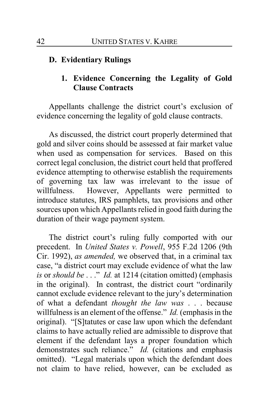### **D. Evidentiary Rulings**

# **1. Evidence Concerning the Legality of Gold Clause Contracts**

Appellants challenge the district court's exclusion of evidence concerning the legality of gold clause contracts.

As discussed, the district court properly determined that gold and silver coins should be assessed at fair market value when used as compensation for services. Based on this correct legal conclusion, the district court held that proffered evidence attempting to otherwise establish the requirements of governing tax law was irrelevant to the issue of willfulness. However, Appellants were permitted to introduce statutes, IRS pamphlets, tax provisions and other sources upon which Appellants relied in good faith during the duration of their wage payment system.

The district court's ruling fully comported with our precedent. In *United States v. Powell*, 955 F.2d 1206 (9th Cir. 1992), *as amended,* we observed that, in a criminal tax case, "a district court may exclude evidence of what the law *is* or *should be* . . ." *Id.* at 1214 (citation omitted) (emphasis in the original). In contrast, the district court "ordinarily cannot exclude evidence relevant to the jury's determination of what a defendant *thought the law was* . . . because willfulness is an element of the offense." *Id.* (emphasis in the original). "[S]tatutes or case law upon which the defendant claims to have actually relied are admissible to disprove that element if the defendant lays a proper foundation which demonstrates such reliance." *Id.* (citations and emphasis omitted). "Legal materials upon which the defendant does not claim to have relied, however, can be excluded as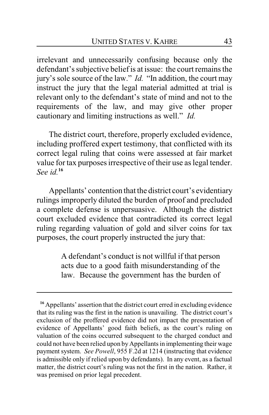irrelevant and unnecessarily confusing because only the defendant's subjective belief is at issue: the court remains the jury's sole source of the law." *Id.* "In addition, the court may instruct the jury that the legal material admitted at trial is relevant only to the defendant's state of mind and not to the requirements of the law, and may give other proper cautionary and limiting instructions as well." *Id.*

The district court, therefore, properly excluded evidence, including proffered expert testimony, that conflicted with its correct legal ruling that coins were assessed at fair market value for tax purposes irrespective of their use as legal tender. *See id.***<sup>16</sup>**

Appellants' contention that the district court's evidentiary rulings improperly diluted the burden of proof and precluded a complete defense is unpersuasive. Although the district court excluded evidence that contradicted its correct legal ruling regarding valuation of gold and silver coins for tax purposes, the court properly instructed the jury that:

> A defendant's conduct is not willful if that person acts due to a good faith misunderstanding of the law. Because the government has the burden of

**<sup>16</sup>** Appellants' assertion that the district court erred in excluding evidence that its ruling was the first in the nation is unavailing. The district court's exclusion of the proffered evidence did not impact the presentation of evidence of Appellants' good faith beliefs, as the court's ruling on valuation of the coins occurred subsequent to the charged conduct and could not have been relied upon by Appellants in implementing their wage payment system. *See Powell*, 955 F.2d at 1214 (instructing that evidence is admissible only if relied upon by defendants). In any event, as a factual matter, the district court's ruling was not the first in the nation. Rather, it was premised on prior legal precedent.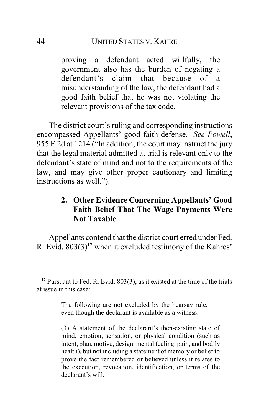proving a defendant acted willfully, the government also has the burden of negating a defendant's claim that because of a misunderstanding of the law, the defendant had a good faith belief that he was not violating the relevant provisions of the tax code.

The district court's ruling and corresponding instructions encompassed Appellants' good faith defense. *See Powell*, 955 F.2d at 1214 ("In addition, the court may instruct the jury that the legal material admitted at trial is relevant only to the defendant's state of mind and not to the requirements of the law, and may give other proper cautionary and limiting instructions as well.").

# **2. Other Evidence Concerning Appellants' Good Faith Belief That The Wage Payments Were Not Taxable**

Appellants contend that the district court erred under Fed. R. Evid. 803(3)**<sup>17</sup>** when it excluded testimony of the Kahres'

**<sup>17</sup>** Pursuant to Fed. R. Evid. 803(3), as it existed at the time of the trials at issue in this case:

The following are not excluded by the hearsay rule, even though the declarant is available as a witness:

<sup>(3)</sup> A statement of the declarant's then-existing state of mind, emotion, sensation, or physical condition (such as intent, plan, motive, design, mental feeling, pain, and bodily health), but not including a statement of memory or belief to prove the fact remembered or believed unless it relates to the execution, revocation, identification, or terms of the declarant's will.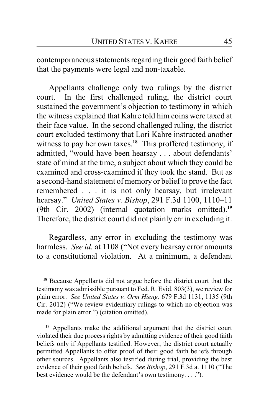contemporaneous statements regarding their good faith belief that the payments were legal and non-taxable.

Appellants challenge only two rulings by the district court. In the first challenged ruling, the district court sustained the government's objection to testimony in which the witness explained that Kahre told him coins were taxed at their face value. In the second challenged ruling, the district court excluded testimony that Lori Kahre instructed another witness to pay her own taxes.**<sup>18</sup>** This proffered testimony, if admitted, "would have been hearsay . . . about defendants' state of mind at the time, a subject about which they could be examined and cross-examined if they took the stand. But as a second-hand statement of memory or belief to prove the fact remembered . . . it is not only hearsay, but irrelevant hearsay." *United States v. Bishop*, 291 F.3d 1100, 1110–11 (9th Cir. 2002) (internal quotation marks omitted).**<sup>19</sup>** Therefore, the district court did not plainly err in excluding it.

Regardless, any error in excluding the testimony was harmless. *See id.* at 1108 ("Not every hearsay error amounts to a constitutional violation. At a minimum, a defendant

**<sup>18</sup>** Because Appellants did not argue before the district court that the testimony was admissible pursuant to Fed. R. Evid. 803(3), we review for plain error. *See United States v. Orm Hieng*, 679 F.3d 1131, 1135 (9th Cir. 2012) ("We review evidentiary rulings to which no objection was made for plain error.") (citation omitted).

**<sup>19</sup>** Appellants make the additional argument that the district court violated their due process rights by admitting evidence of their good faith beliefs only if Appellants testified. However, the district court actually permitted Appellants to offer proof of their good faith beliefs through other sources. Appellants also testified during trial, providing the best evidence of their good faith beliefs. *See Bishop*, 291 F.3d at 1110 ("The best evidence would be the defendant's own testimony. . . .").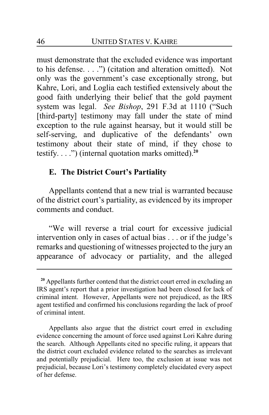must demonstrate that the excluded evidence was important to his defense. . . .") (citation and alteration omitted). Not only was the government's case exceptionally strong, but Kahre, Lori, and Loglia each testified extensively about the good faith underlying their belief that the gold payment system was legal. *See Bishop*, 291 F.3d at 1110 ("Such [third-party] testimony may fall under the state of mind exception to the rule against hearsay, but it would still be self-serving, and duplicative of the defendants' own testimony about their state of mind, if they chose to testify. . . .") (internal quotation marks omitted).**<sup>20</sup>**

### **E. The District Court's Partiality**

Appellants contend that a new trial is warranted because of the district court's partiality, as evidenced by its improper comments and conduct.

"We will reverse a trial court for excessive judicial intervention only in cases of actual bias . . . or if the judge's remarks and questioning of witnesses projected to the jury an appearance of advocacy or partiality, and the alleged

**<sup>20</sup>** Appellants further contend that the district court erred in excluding an IRS agent's report that a prior investigation had been closed for lack of criminal intent. However, Appellants were not prejudiced, as the IRS agent testified and confirmed his conclusions regarding the lack of proof of criminal intent.

Appellants also argue that the district court erred in excluding evidence concerning the amount of force used against Lori Kahre during the search. Although Appellants cited no specific ruling, it appears that the district court excluded evidence related to the searches as irrelevant and potentially prejudicial. Here too, the exclusion at issue was not prejudicial, because Lori's testimony completely elucidated every aspect of her defense.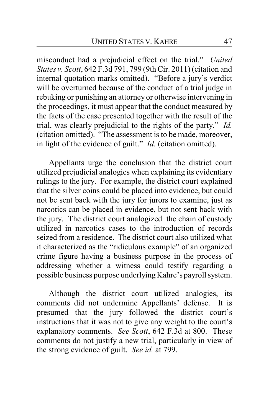misconduct had a prejudicial effect on the trial." *United States v. Scott*, 642 F.3d 791, 799 (9th Cir. 2011) (citation and internal quotation marks omitted). "Before a jury's verdict will be overturned because of the conduct of a trial judge in rebuking or punishing an attorney or otherwise intervening in the proceedings, it must appear that the conduct measured by the facts of the case presented together with the result of the trial, was clearly prejudicial to the rights of the party." *Id.* (citation omitted). "The assessment is to be made, moreover, in light of the evidence of guilt." *Id.* (citation omitted).

Appellants urge the conclusion that the district court utilized prejudicial analogies when explaining its evidentiary rulings to the jury. For example, the district court explained that the silver coins could be placed into evidence, but could not be sent back with the jury for jurors to examine, just as narcotics can be placed in evidence, but not sent back with the jury. The district court analogized the chain of custody utilized in narcotics cases to the introduction of records seized from a residence. The district court also utilized what it characterized as the "ridiculous example" of an organized crime figure having a business purpose in the process of addressing whether a witness could testify regarding a possible business purpose underlyingKahre's payroll system.

Although the district court utilized analogies, its comments did not undermine Appellants' defense. It is presumed that the jury followed the district court's instructions that it was not to give any weight to the court's explanatory comments. *See Scott*, 642 F.3d at 800. These comments do not justify a new trial, particularly in view of the strong evidence of guilt. *See id.* at 799.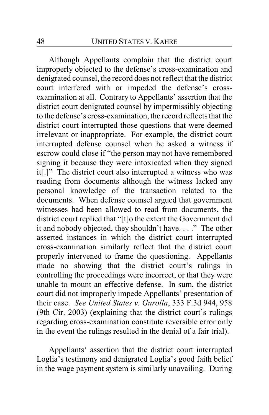Although Appellants complain that the district court improperly objected to the defense's cross-examination and denigrated counsel, the record does not reflect that the district court interfered with or impeded the defense's crossexamination at all. Contrary to Appellants' assertion that the district court denigrated counsel by impermissibly objecting to the defense's cross-examination, the record reflects that the district court interrupted those questions that were deemed irrelevant or inappropriate. For example, the district court interrupted defense counsel when he asked a witness if escrow could close if "the person may not have remembered signing it because they were intoxicated when they signed it[.]" The district court also interrupted a witness who was reading from documents although the witness lacked any personal knowledge of the transaction related to the documents. When defense counsel argued that government witnesses had been allowed to read from documents, the district court replied that "[t]o the extent the Government did it and nobody objected, they shouldn't have. . . ." The other asserted instances in which the district court interrupted cross-examination similarly reflect that the district court properly intervened to frame the questioning. Appellants made no showing that the district court's rulings in controlling the proceedings were incorrect, or that they were unable to mount an effective defense. In sum, the district court did not improperly impede Appellants' presentation of their case. *See United States v. Gurolla*, 333 F.3d 944, 958 (9th Cir. 2003) (explaining that the district court's rulings regarding cross-examination constitute reversible error only in the event the rulings resulted in the denial of a fair trial).

Appellants' assertion that the district court interrupted Loglia's testimony and denigrated Loglia's good faith belief in the wage payment system is similarly unavailing. During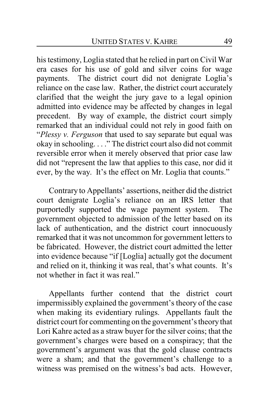his testimony, Loglia stated that he relied in part on Civil War era cases for his use of gold and silver coins for wage payments. The district court did not denigrate Loglia's reliance on the case law. Rather, the district court accurately clarified that the weight the jury gave to a legal opinion admitted into evidence may be affected by changes in legal precedent. By way of example, the district court simply remarked that an individual could not rely in good faith on "*Plessy v. Ferguson* that used to say separate but equal was okay in schooling. . . ." The district court also did not commit reversible error when it merely observed that prior case law did not "represent the law that applies to this case, nor did it ever, by the way. It's the effect on Mr. Loglia that counts."

Contrary to Appellants' assertions, neither did the district court denigrate Loglia's reliance on an IRS letter that purportedly supported the wage payment system. The government objected to admission of the letter based on its lack of authentication, and the district court innocuously remarked that it was not uncommon for government letters to be fabricated. However, the district court admitted the letter into evidence because "if [Loglia] actually got the document and relied on it, thinking it was real, that's what counts. It's not whether in fact it was real."

Appellants further contend that the district court impermissibly explained the government's theory of the case when making its evidentiary rulings. Appellants fault the district court for commenting on the government's theory that Lori Kahre acted as a straw buyer for the silver coins; that the government's charges were based on a conspiracy; that the government's argument was that the gold clause contracts were a sham; and that the government's challenge to a witness was premised on the witness's bad acts. However,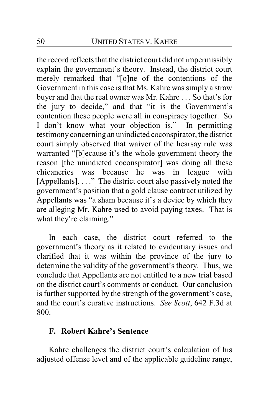the record reflects that the district court did not impermissibly explain the government's theory. Instead, the district court merely remarked that "[o]ne of the contentions of the Government in this case is that Ms. Kahre was simply a straw buyer and that the real owner was Mr. Kahre . . . So that's for the jury to decide," and that "it is the Government's contention these people were all in conspiracy together. So I don't know what your objection is." In permitting testimony concerning an unindicted coconspirator, the district court simply observed that waiver of the hearsay rule was warranted "[b]ecause it's the whole government theory the reason [the unindicted coconspirator] was doing all these chicaneries was because he was in league with [Appellants]. . . ." The district court also passively noted the government's position that a gold clause contract utilized by Appellants was "a sham because it's a device by which they are alleging Mr. Kahre used to avoid paying taxes. That is what they're claiming."

In each case, the district court referred to the government's theory as it related to evidentiary issues and clarified that it was within the province of the jury to determine the validity of the government's theory. Thus, we conclude that Appellants are not entitled to a new trial based on the district court's comments or conduct. Our conclusion is further supported by the strength of the government's case, and the court's curative instructions. *See Scott*, 642 F.3d at 800.

# **F. Robert Kahre's Sentence**

Kahre challenges the district court's calculation of his adjusted offense level and of the applicable guideline range,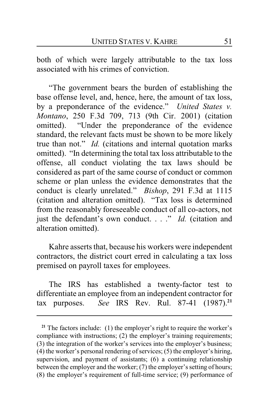both of which were largely attributable to the tax loss associated with his crimes of conviction.

"The government bears the burden of establishing the base offense level, and, hence, here, the amount of tax loss, by a preponderance of the evidence." *United States v. Montano*, 250 F.3d 709, 713 (9th Cir. 2001) (citation omitted). "Under the preponderance of the evidence standard, the relevant facts must be shown to be more likely true than not." *Id.* (citations and internal quotation marks omitted). "In determining the total tax loss attributable to the offense, all conduct violating the tax laws should be considered as part of the same course of conduct or common scheme or plan unless the evidence demonstrates that the conduct is clearly unrelated." *Bishop*, 291 F.3d at 1115 (citation and alteration omitted). "Tax loss is determined from the reasonably foreseeable conduct of all co-actors, not just the defendant's own conduct. . . ." *Id.* (citation and alteration omitted).

Kahre asserts that, because his workers were independent contractors, the district court erred in calculating a tax loss premised on payroll taxes for employees.

The IRS has established a twenty-factor test to differentiate an employee from an independent contractor for tax purposes. *See* IRS Rev. Rul. 87-41 (1987).**<sup>21</sup>**

<sup>&</sup>lt;sup>21</sup> The factors include: (1) the employer's right to require the worker's compliance with instructions; (2) the employer's training requirements; (3) the integration of the worker's services into the employer's business; (4) the worker's personal rendering of services;  $(5)$  the employer's hiring, supervision, and payment of assistants; (6) a continuing relationship between the employer and the worker; (7) the employer's setting of hours; (8) the employer's requirement of full-time service; (9) performance of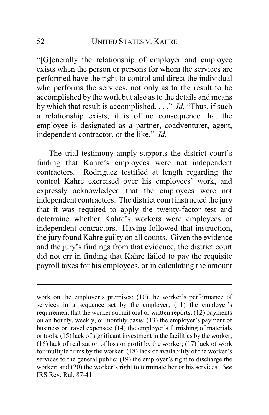"[G]enerally the relationship of employer and employee exists when the person or persons for whom the services are performed have the right to control and direct the individual who performs the services, not only as to the result to be accomplished by the work but also as to the details and means by which that result is accomplished. . . ." *Id.* "Thus, if such a relationship exists, it is of no consequence that the employee is designated as a partner, coadventurer, agent, independent contractor, or the like." *Id.*

The trial testimony amply supports the district court's finding that Kahre's employees were not independent contractors. Rodriguez testified at length regarding the control Kahre exercised over his employees' work, and expressly acknowledged that the employees were not independent contractors. The district court instructed the jury that it was required to apply the twenty-factor test and determine whether Kahre's workers were employees or independent contractors. Having followed that instruction, the jury found Kahre guilty on all counts. Given the evidence and the jury's findings from that evidence, the district court did not err in finding that Kahre failed to pay the requisite payroll taxes for his employees, or in calculating the amount

work on the employer's premises; (10) the worker's performance of services in a sequence set by the employer; (11) the employer's requirement that the worker submit oral or written reports; (12) payments on an hourly, weekly, or monthly basis; (13) the employer's payment of business or travel expenses; (14) the employer's furnishing of materials or tools; (15) lack of significant investment in the facilities by the worker; (16) lack of realization of loss or profit by the worker; (17) lack of work for multiple firms by the worker; (18) lack of availability of the worker's services to the general public; (19) the employer's right to discharge the worker; and (20) the worker's right to terminate her or his services. *See* IRS Rev. Rul. 87-41.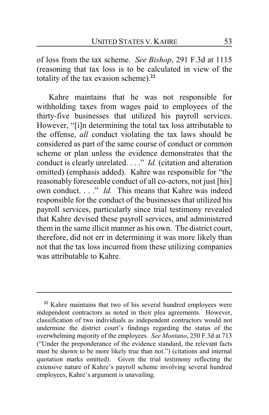of loss from the tax scheme. *See Bishop*, 291 F.3d at 1115 (reasoning that tax loss is to be calculated in view of the totality of the tax evasion scheme).**<sup>22</sup>**

Kahre maintains that he was not responsible for withholding taxes from wages paid to employees of the thirty-five businesses that utilized his payroll services. However, "[i]n determining the total tax loss attributable to the offense, *all* conduct violating the tax laws should be considered as part of the same course of conduct or common scheme or plan unless the evidence demonstrates that the conduct is clearly unrelated. . . ." *Id.* (citation and alteration omitted) (emphasis added). Kahre was responsible for "the reasonably foreseeable conduct of all co-actors, not just [his] own conduct. . . ." *Id.* This means that Kahre was indeed responsible for the conduct of the businesses that utilized his payroll services, particularly since trial testimony revealed that Kahre devised these payroll services, and administered them in the same illicit manner as his own. The district court, therefore, did not err in determining it was more likely than not that the tax loss incurred from these utilizing companies was attributable to Kahre.

**<sup>22</sup>** Kahre maintains that two of his several hundred employees were independent contractors as noted in their plea agreements. However, classification of two individuals as independent contractors would not undermine the district court's findings regarding the status of the overwhelming majority of the employees. *See Montano*, 250 F.3d at 713 ("Under the preponderance of the evidence standard, the relevant facts must be shown to be more likely true than not.") (citations and internal quotation marks omitted). Given the trial testimony reflecting the extensive nature of Kahre's payroll scheme involving several hundred employees, Kahre's argument is unavailing.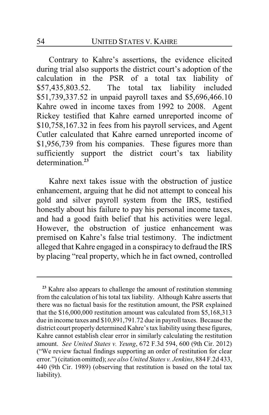Contrary to Kahre's assertions, the evidence elicited during trial also supports the district court's adoption of the calculation in the PSR of a total tax liability of \$57,435,803.52. The total tax liability included The total tax liability included \$51,739,337.52 in unpaid payroll taxes and \$5,696,466.10 Kahre owed in income taxes from 1992 to 2008. Agent Rickey testified that Kahre earned unreported income of \$10,758,167.32 in fees from his payroll services, and Agent Cutler calculated that Kahre earned unreported income of \$1,956,739 from his companies. These figures more than sufficiently support the district court's tax liability determination<sup>23</sup>

Kahre next takes issue with the obstruction of justice enhancement, arguing that he did not attempt to conceal his gold and silver payroll system from the IRS, testified honestly about his failure to pay his personal income taxes, and had a good faith belief that his activities were legal. However, the obstruction of justice enhancement was premised on Kahre's false trial testimony. The indictment alleged that Kahre engaged in a conspiracy to defraud the IRS by placing "real property, which he in fact owned, controlled

<sup>&</sup>lt;sup>23</sup> Kahre also appears to challenge the amount of restitution stemming from the calculation of his total tax liability. Although Kahre asserts that there was no factual basis for the restitution amount, the PSR explained that the \$16,000,000 restitution amount was calculated from \$5,168,313 due in income taxes and \$10,891,791.72 due in payroll taxes. Because the district court properly determined Kahre's tax liability using these figures, Kahre cannot establish clear error in similarly calculating the restitution amount. *See United States v. Yeung*, 672 F.3d 594, 600 (9th Cir. 2012) ("We review factual findings supporting an order of restitution for clear error.") (citation omitted); *see also United States v. Jenkins*, 884 F.2d 433, 440 (9th Cir. 1989) (observing that restitution is based on the total tax liability).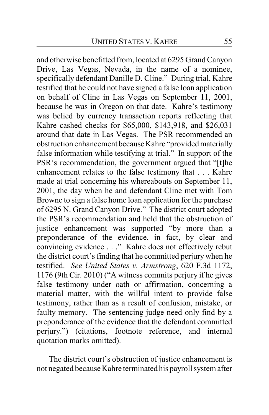and otherwise benefitted from, located at 6295 Grand Canyon Drive, Las Vegas, Nevada, in the name of a nominee, specifically defendant Danille D. Cline." During trial, Kahre testified that he could not have signed a false loan application on behalf of Cline in Las Vegas on September 11, 2001, because he was in Oregon on that date. Kahre's testimony was belied by currency transaction reports reflecting that Kahre cashed checks for \$65,000, \$143,918, and \$26,031 around that date in Las Vegas. The PSR recommended an obstruction enhancement because Kahre "provided materially false information while testifying at trial." In support of the PSR's recommendation, the government argued that "[t]he enhancement relates to the false testimony that . . . Kahre made at trial concerning his whereabouts on September 11, 2001, the day when he and defendant Cline met with Tom Browne to sign a false home loan application for the purchase of 6295 N. Grand Canyon Drive." The district court adopted the PSR's recommendation and held that the obstruction of justice enhancement was supported "by more than a preponderance of the evidence, in fact, by clear and convincing evidence . . ." Kahre does not effectively rebut the district court's finding that he committed perjury when he testified. *See United States v. Armstrong*, 620 F.3d 1172, 1176 (9th Cir. 2010) ("A witness commits perjury if he gives false testimony under oath or affirmation, concerning a material matter, with the willful intent to provide false testimony, rather than as a result of confusion, mistake, or faulty memory. The sentencing judge need only find by a preponderance of the evidence that the defendant committed perjury.") (citations, footnote reference, and internal quotation marks omitted).

The district court's obstruction of justice enhancement is not negated because Kahre terminated his payroll system after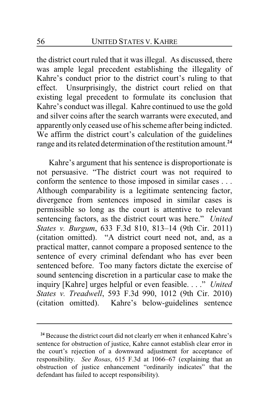the district court ruled that it was illegal. As discussed, there was ample legal precedent establishing the illegality of Kahre's conduct prior to the district court's ruling to that effect. Unsurprisingly, the district court relied on that existing legal precedent to formulate its conclusion that Kahre's conduct was illegal. Kahre continued to use the gold and silver coins after the search warrants were executed, and apparently only ceased use of his scheme after being indicted. We affirm the district court's calculation of the guidelines range and its related determination of the restitution amount.**<sup>24</sup>**

Kahre's argument that his sentence is disproportionate is not persuasive. "The district court was not required to conform the sentence to those imposed in similar cases . . . Although comparability is a legitimate sentencing factor, divergence from sentences imposed in similar cases is permissible so long as the court is attentive to relevant sentencing factors, as the district court was here." *United States v. Burgum*, 633 F.3d 810, 813–14 (9th Cir. 2011) (citation omitted). "A district court need not, and, as a practical matter, cannot compare a proposed sentence to the sentence of every criminal defendant who has ever been sentenced before. Too many factors dictate the exercise of sound sentencing discretion in a particular case to make the inquiry [Kahre] urges helpful or even feasible. . . ." *United States v. Treadwell*, 593 F.3d 990, 1012 (9th Cir. 2010) (citation omitted). Kahre's below-guidelines sentence

**<sup>24</sup>** Because the district court did not clearly err when it enhanced Kahre's sentence for obstruction of justice, Kahre cannot establish clear error in the court's rejection of a downward adjustment for acceptance of responsibility. *See Rosas*, 615 F.3d at 1066–67 (explaining that an obstruction of justice enhancement "ordinarily indicates" that the defendant has failed to accept responsibility).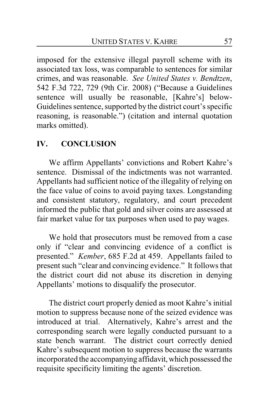imposed for the extensive illegal payroll scheme with its associated tax loss, was comparable to sentences for similar crimes, and was reasonable. *See United States v. Bendtzen*, 542 F.3d 722, 729 (9th Cir. 2008) ("Because a Guidelines sentence will usually be reasonable, [Kahre's] below-Guidelines sentence, supported by the district court's specific reasoning, is reasonable.") (citation and internal quotation marks omitted).

#### **IV. CONCLUSION**

We affirm Appellants' convictions and Robert Kahre's sentence. Dismissal of the indictments was not warranted. Appellants had sufficient notice of the illegality of relying on the face value of coins to avoid paying taxes. Longstanding and consistent statutory, regulatory, and court precedent informed the public that gold and silver coins are assessed at fair market value for tax purposes when used to pay wages.

We hold that prosecutors must be removed from a case only if "clear and convincing evidence of a conflict is presented." *Kember*, 685 F.2d at 459. Appellants failed to present such "clear and convincing evidence." It follows that the district court did not abuse its discretion in denying Appellants' motions to disqualify the prosecutor.

The district court properly denied as moot Kahre's initial motion to suppress because none of the seized evidence was introduced at trial. Alternatively, Kahre's arrest and the corresponding search were legally conducted pursuant to a state bench warrant. The district court correctly denied Kahre's subsequent motion to suppress because the warrants incorporated the accompanying affidavit, which possessed the requisite specificity limiting the agents' discretion.